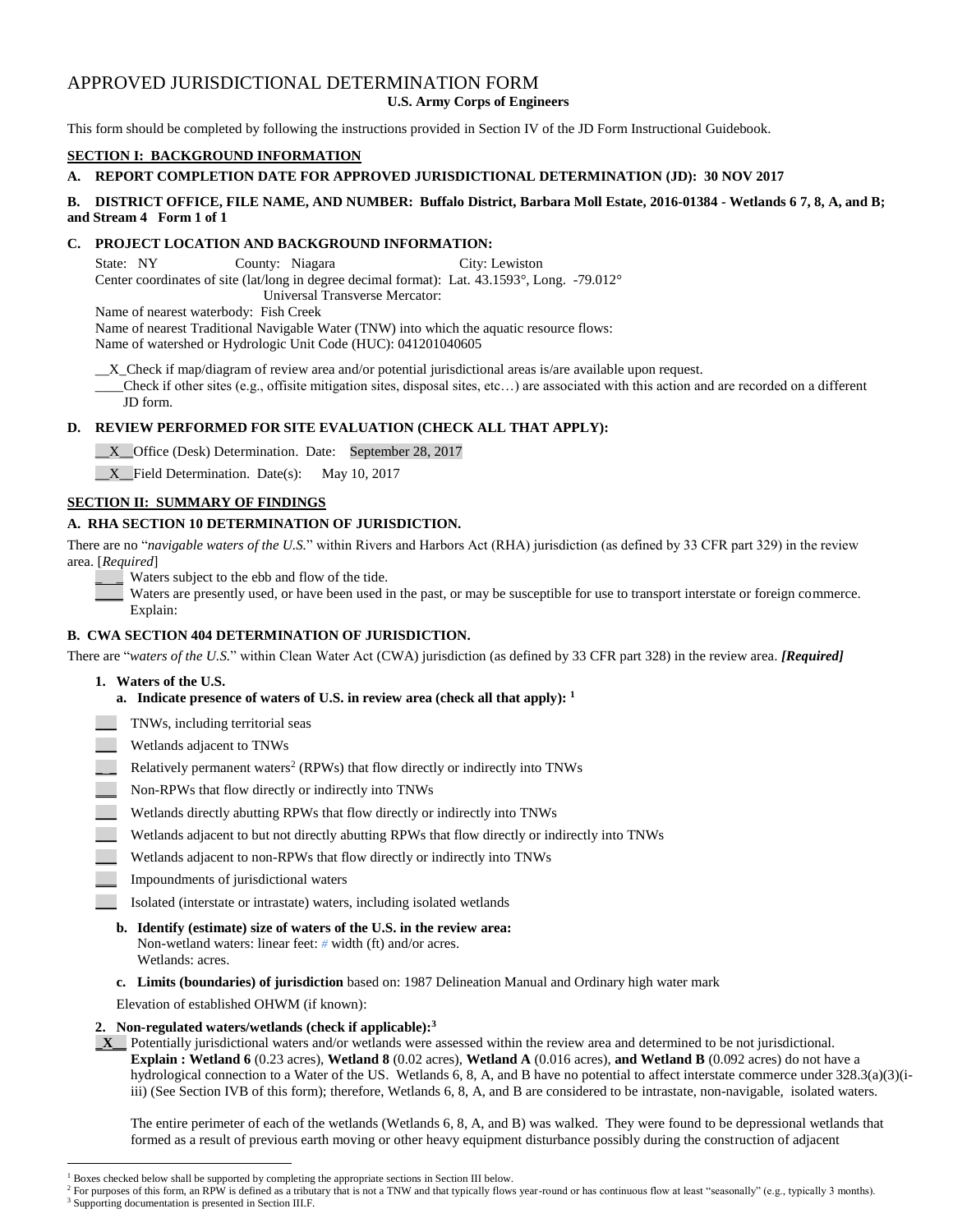# APPROVED JURISDICTIONAL DETERMINATION FORM

**U.S. Army Corps of Engineers**

This form should be completed by following the instructions provided in Section IV of the JD Form Instructional Guidebook.

# **SECTION I: BACKGROUND INFORMATION**

# **A. REPORT COMPLETION DATE FOR APPROVED JURISDICTIONAL DETERMINATION (JD): 30 NOV 2017**

# **B. DISTRICT OFFICE, FILE NAME, AND NUMBER: Buffalo District, Barbara Moll Estate, 2016-01384 - Wetlands 6 7, 8, A, and B; and Stream 4 Form 1 of 1**

# **C. PROJECT LOCATION AND BACKGROUND INFORMATION:**

State: NY County: Niagara City: Lewiston Center coordinates of site (lat/long in degree decimal format): Lat. 43.1593°, Long. -79.012° Universal Transverse Mercator:

Name of nearest waterbody: Fish Creek

Name of nearest Traditional Navigable Water (TNW) into which the aquatic resource flows:

Name of watershed or Hydrologic Unit Code (HUC): 041201040605

\_\_X\_Check if map/diagram of review area and/or potential jurisdictional areas is/are available upon request.

\_\_\_\_Check if other sites (e.g., offisite mitigation sites, disposal sites, etc…) are associated with this action and are recorded on a different JD form.

# **D. REVIEW PERFORMED FOR SITE EVALUATION (CHECK ALL THAT APPLY):**

\_\_X\_\_Office (Desk) Determination. Date: September 28, 2017

\_\_X\_\_Field Determination. Date(s): May 10, 2017

# **SECTION II: SUMMARY OF FINDINGS**

# **A. RHA SECTION 10 DETERMINATION OF JURISDICTION.**

There are no "*navigable waters of the U.S.*" within Rivers and Harbors Act (RHA) jurisdiction (as defined by 33 CFR part 329) in the review area. [*Required*]

Waters subject to the ebb and flow of the tide.

Waters are presently used, or have been used in the past, or may be susceptible for use to transport interstate or foreign commerce. Explain:

# **B. CWA SECTION 404 DETERMINATION OF JURISDICTION.**

There are "*waters of the U.S.*" within Clean Water Act (CWA) jurisdiction (as defined by 33 CFR part 328) in the review area. *[Required]*

**1. Waters of the U.S.**

 $\overline{a}$ 

- **a. Indicate presence of waters of U.S. in review area (check all that apply): 1**
- \_\_\_ TNWs, including territorial seas
- \_\_\_ Wetlands adjacent to TNWs
- **EXECUTE:** Relatively permanent waters<sup>2</sup> (RPWs) that flow directly or indirectly into TNWs
- Non-RPWs that flow directly or indirectly into TNWs
- \_\_\_ Wetlands directly abutting RPWs that flow directly or indirectly into TNWs
- Wetlands adjacent to but not directly abutting RPWs that flow directly or indirectly into TNWs
- Wetlands adjacent to non-RPWs that flow directly or indirectly into TNWs
- \_\_\_ Impoundments of jurisdictional waters
	- \_\_\_ Isolated (interstate or intrastate) waters, including isolated wetlands
	- **b. Identify (estimate) size of waters of the U.S. in the review area:** Non-wetland waters: linear feet: *#* width (ft) and/or acres. Wetlands: acres.
	- **c. Limits (boundaries) of jurisdiction** based on: 1987 Delineation Manual and Ordinary high water mark

Elevation of established OHWM (if known):

# **2. Non-regulated waters/wetlands (check if applicable): 3**

**\_X\_\_** Potentially jurisdictional waters and/or wetlands were assessed within the review area and determined to be not jurisdictional. **Explain : Wetland 6** (0.23 acres), **Wetland 8** (0.02 acres), **Wetland A** (0.016 acres), **and Wetland B** (0.092 acres) do not have a hydrological connection to a Water of the US. Wetlands 6, 8, A, and B have no potential to affect interstate commerce under 328.3(a)(3)(iiii) (See Section IVB of this form); therefore, Wetlands 6, 8, A, and B are considered to be intrastate, non-navigable, isolated waters.

The entire perimeter of each of the wetlands (Wetlands 6, 8, A, and B) was walked. They were found to be depressional wetlands that formed as a result of previous earth moving or other heavy equipment disturbance possibly during the construction of adjacent

<sup>&</sup>lt;sup>1</sup> Boxes checked below shall be supported by completing the appropriate sections in Section III below.

<sup>&</sup>lt;sup>2</sup> For purposes of this form, an RPW is defined as a tributary that is not a TNW and that typically flows year-round or has continuous flow at least "seasonally" (e.g., typically 3 months). <sup>3</sup> Supporting documentation is presented in Section III.F.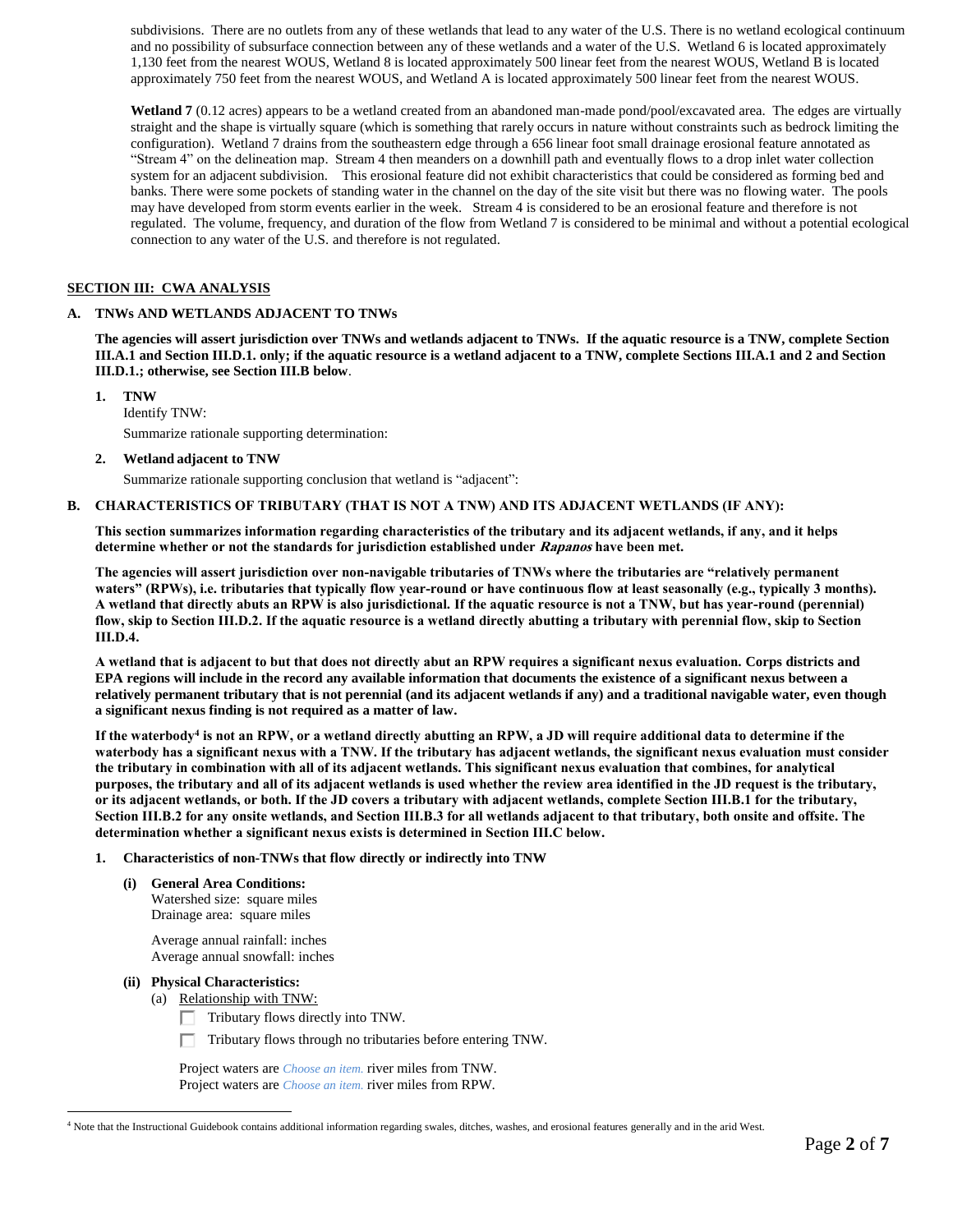subdivisions. There are no outlets from any of these wetlands that lead to any water of the U.S. There is no wetland ecological continuum and no possibility of subsurface connection between any of these wetlands and a water of the U.S. Wetland 6 is located approximately 1,130 feet from the nearest WOUS, Wetland 8 is located approximately 500 linear feet from the nearest WOUS, Wetland B is located approximately 750 feet from the nearest WOUS, and Wetland A is located approximately 500 linear feet from the nearest WOUS.

Wetland 7 (0.12 acres) appears to be a wetland created from an abandoned man-made pond/pool/excavated area. The edges are virtually straight and the shape is virtually square (which is something that rarely occurs in nature without constraints such as bedrock limiting the configuration). Wetland 7 drains from the southeastern edge through a 656 linear foot small drainage erosional feature annotated as "Stream 4" on the delineation map. Stream 4 then meanders on a downhill path and eventually flows to a drop inlet water collection system for an adjacent subdivision. This erosional feature did not exhibit characteristics that could be considered as forming bed and banks. There were some pockets of standing water in the channel on the day of the site visit but there was no flowing water. The pools may have developed from storm events earlier in the week. Stream 4 is considered to be an erosional feature and therefore is not regulated. The volume, frequency, and duration of the flow from Wetland 7 is considered to be minimal and without a potential ecological connection to any water of the U.S. and therefore is not regulated.

# **SECTION III: CWA ANALYSIS**

# **A. TNWs AND WETLANDS ADJACENT TO TNWs**

**The agencies will assert jurisdiction over TNWs and wetlands adjacent to TNWs. If the aquatic resource is a TNW, complete Section III.A.1 and Section III.D.1. only; if the aquatic resource is a wetland adjacent to a TNW, complete Sections III.A.1 and 2 and Section III.D.1.; otherwise, see Section III.B below**.

**1. TNW**  Identify TNW: Summarize rationale supporting determination:

**2. Wetland adjacent to TNW**

Summarize rationale supporting conclusion that wetland is "adjacent":

### **B. CHARACTERISTICS OF TRIBUTARY (THAT IS NOT A TNW) AND ITS ADJACENT WETLANDS (IF ANY):**

**This section summarizes information regarding characteristics of the tributary and its adjacent wetlands, if any, and it helps determine whether or not the standards for jurisdiction established under Rapanos have been met.** 

**The agencies will assert jurisdiction over non-navigable tributaries of TNWs where the tributaries are "relatively permanent waters" (RPWs), i.e. tributaries that typically flow year-round or have continuous flow at least seasonally (e.g., typically 3 months). A wetland that directly abuts an RPW is also jurisdictional. If the aquatic resource is not a TNW, but has year-round (perennial) flow, skip to Section III.D.2. If the aquatic resource is a wetland directly abutting a tributary with perennial flow, skip to Section III.D.4.**

**A wetland that is adjacent to but that does not directly abut an RPW requires a significant nexus evaluation. Corps districts and EPA regions will include in the record any available information that documents the existence of a significant nexus between a relatively permanent tributary that is not perennial (and its adjacent wetlands if any) and a traditional navigable water, even though a significant nexus finding is not required as a matter of law.**

**If the waterbody<sup>4</sup> is not an RPW, or a wetland directly abutting an RPW, a JD will require additional data to determine if the waterbody has a significant nexus with a TNW. If the tributary has adjacent wetlands, the significant nexus evaluation must consider the tributary in combination with all of its adjacent wetlands. This significant nexus evaluation that combines, for analytical purposes, the tributary and all of its adjacent wetlands is used whether the review area identified in the JD request is the tributary, or its adjacent wetlands, or both. If the JD covers a tributary with adjacent wetlands, complete Section III.B.1 for the tributary, Section III.B.2 for any onsite wetlands, and Section III.B.3 for all wetlands adjacent to that tributary, both onsite and offsite. The determination whether a significant nexus exists is determined in Section III.C below.**

- **1. Characteristics of non-TNWs that flow directly or indirectly into TNW**
	- **(i) General Area Conditions:**

Watershed size: square miles Drainage area: square miles

Average annual rainfall: inches Average annual snowfall: inches

# **(ii) Physical Characteristics:**

- (a) Relationship with TNW:
	- Tributary flows directly into TNW.
	- $\Box$  Tributary flows through no tributaries before entering TNW.

Project waters are *Choose an item.* river miles from TNW. Project waters are *Choose an item.* river miles from RPW.

 $\overline{a}$ <sup>4</sup> Note that the Instructional Guidebook contains additional information regarding swales, ditches, washes, and erosional features generally and in the arid West.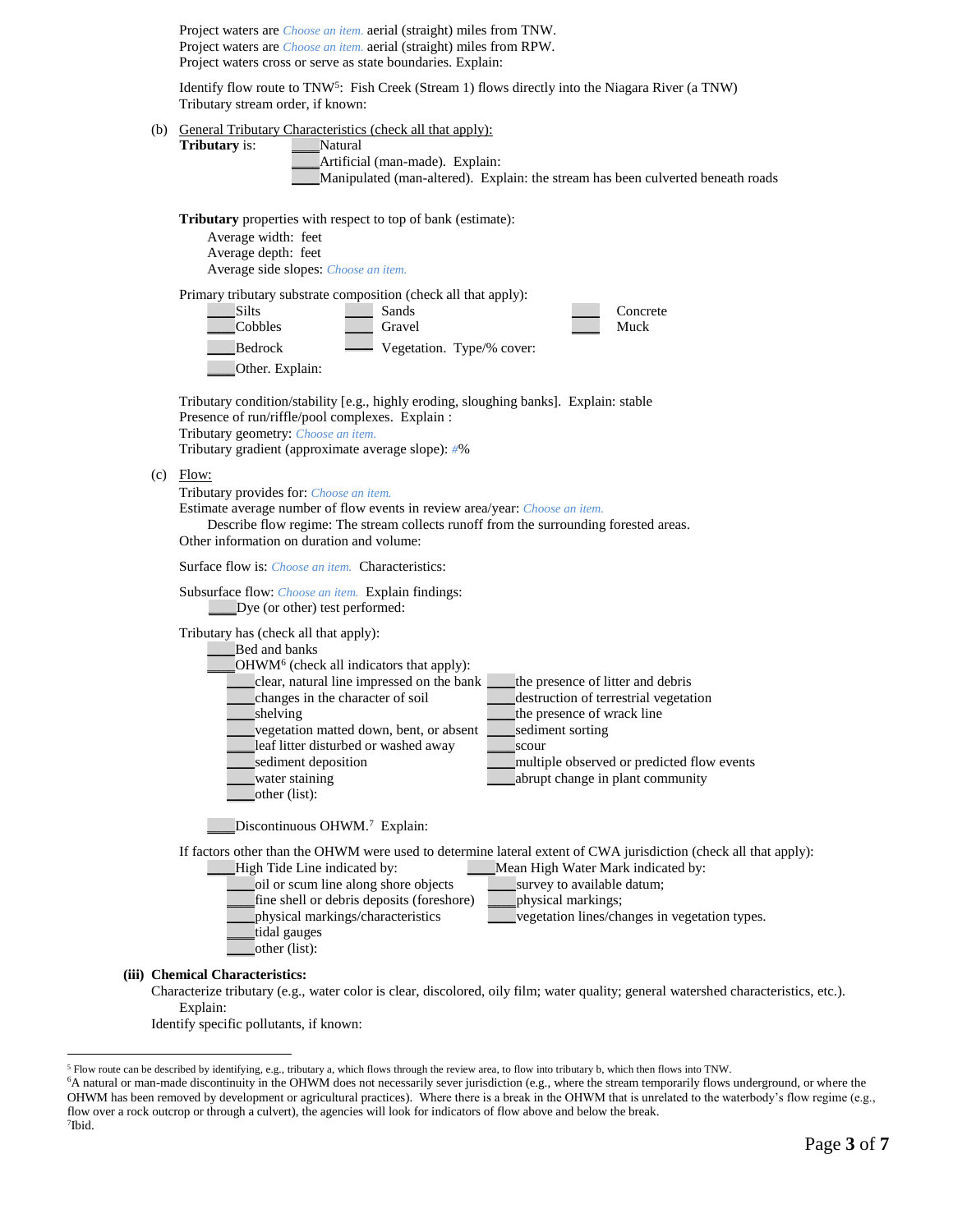Project waters are *Choose an item.* aerial (straight) miles from TNW. Project waters are *Choose an item.* aerial (straight) miles from RPW. Project waters cross or serve as state boundaries. Explain:

Identify flow route to TNW<sup>5</sup>: Fish Creek (Stream 1) flows directly into the Niagara River (a TNW) Tributary stream order, if known:

(b) General Tributary Characteristics (check all that apply):

**Tributary** is: **\_\_\_\_Natural** 

Artificial (man-made). Explain: \_\_\_\_Manipulated (man-altered). Explain: the stream has been culverted beneath roads

**Tributary** properties with respect to top of bank (estimate):

Average width: feet Average depth: feet

Average side slopes: *Choose an item.*

Primary tributary substrate composition (check all that apply): Let Silts **Sands** Sands **Concrete** \_\_\_\_Cobbles \_\_\_\_ Gravel \_\_\_\_ Muck Bedrock Wegetation. Type/% cover: \_\_\_\_Other. Explain:

Tributary condition/stability [e.g., highly eroding, sloughing banks]. Explain: stable Presence of run/riffle/pool complexes. Explain : Tributary geometry: *Choose an item.* Tributary gradient (approximate average slope): *#*%

 $(c)$  Flow:

Tributary provides for: *Choose an item.*

Estimate average number of flow events in review area/year: *Choose an item.*

Describe flow regime: The stream collects runoff from the surrounding forested areas. Other information on duration and volume:

Surface flow is: *Choose an item.* Characteristics:

Subsurface flow: *Choose an item.* Explain findings: \_\_\_\_Dye (or other) test performed:

Tributary has (check all that apply):

|                                            | ----- , ---- <i>--- ---- ------</i> ----- ------- |                                            |  |
|--------------------------------------------|---------------------------------------------------|--------------------------------------------|--|
|                                            | Bed and banks                                     |                                            |  |
| $OHWM6$ (check all indicators that apply): |                                                   |                                            |  |
|                                            | clear, natural line impressed on the bank         | the presence of litter and debris          |  |
|                                            | changes in the character of soil                  | destruction of terrestrial vegetation      |  |
|                                            | shelving                                          | the presence of wrack line                 |  |
|                                            | vegetation matted down, bent, or absent           | sediment sorting                           |  |
|                                            | leaf litter disturbed or washed away              | scour                                      |  |
|                                            | sediment deposition                               | multiple observed or predicted flow events |  |
|                                            | water staining                                    | abrupt change in plant community           |  |
|                                            | other (list):                                     |                                            |  |
|                                            |                                                   |                                            |  |

Discontinuous OHWM.<sup>7</sup> Explain:

If factors other than the OHWM were used to determine lateral extent of CWA jurisdiction (check all that apply):

Let us a Line indicated by: Line indicated by: Line and High Water Mark indicated by: \_\_\_\_oil or scum line along shore objects \_\_\_\_survey to available datum; fine shell or debris deposits (foreshore) \_\_\_\_\_physical markings; \_\_\_\_physical markings/characteristics \_\_\_\_vegetation lines/changes in vegetation types. \_\_\_\_tidal gauges \_\_\_\_other (list):

**(iii) Chemical Characteristics:**

 $\overline{a}$ 

Characterize tributary (e.g., water color is clear, discolored, oily film; water quality; general watershed characteristics, etc.). Explain:

Identify specific pollutants, if known:

<sup>5</sup> Flow route can be described by identifying, e.g., tributary a, which flows through the review area, to flow into tributary b, which then flows into TNW.

<sup>&</sup>lt;sup>6</sup>A natural or man-made discontinuity in the OHWM does not necessarily sever jurisdiction (e.g., where the stream temporarily flows underground, or where the OHWM has been removed by development or agricultural practices). Where there is a break in the OHWM that is unrelated to the waterbody's flow regime (e.g., flow over a rock outcrop or through a culvert), the agencies will look for indicators of flow above and below the break. 7 Ibid.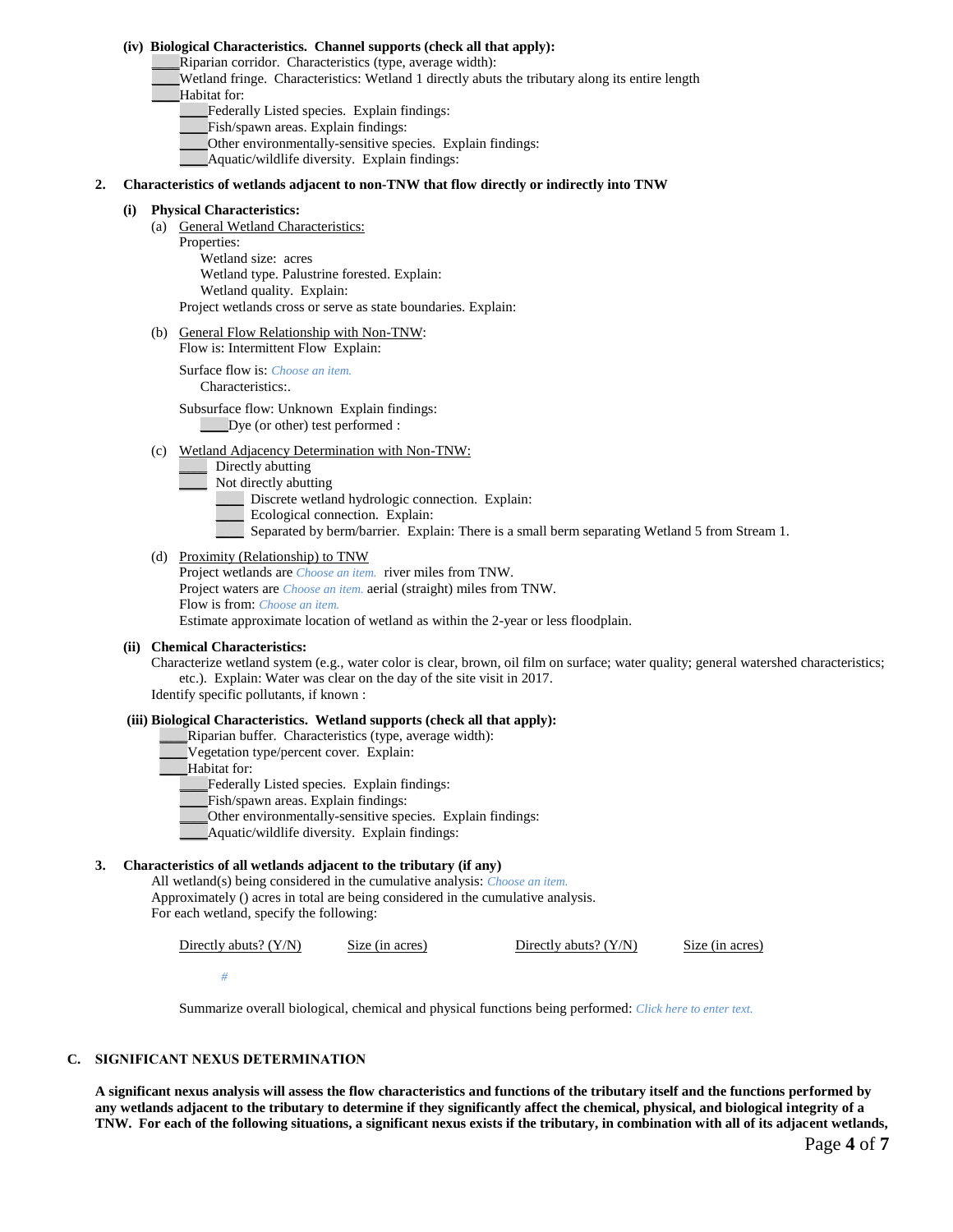#### **(iv) Biological Characteristics. Channel supports (check all that apply):**

\_\_\_\_Riparian corridor. Characteristics (type, average width):

- \_\_\_\_Wetland fringe. Characteristics: Wetland 1 directly abuts the tributary along its entire length Habitat for:
	- Federally Listed species. Explain findings:
	- Fish/spawn areas. Explain findings:
	- \_\_\_\_Other environmentally-sensitive species. Explain findings:
	- \_\_\_\_Aquatic/wildlife diversity. Explain findings:

#### **2. Characteristics of wetlands adjacent to non-TNW that flow directly or indirectly into TNW**

#### **(i) Physical Characteristics:**

- (a) General Wetland Characteristics: Properties: Wetland size: acres Wetland type. Palustrine forested. Explain: Wetland quality. Explain: Project wetlands cross or serve as state boundaries. Explain:
- (b) General Flow Relationship with Non-TNW: Flow is: Intermittent Flow Explain:

Surface flow is: *Choose an item.* Characteristics:.

Subsurface flow: Unknown Explain findings: \_\_\_\_Dye (or other) test performed :

- (c) Wetland Adjacency Determination with Non-TNW:
	- Directly abutting
	- Not directly abutting
	- Discrete wetland hydrologic connection. Explain:
	- Ecological connection. Explain:
	- Separated by berm/barrier. Explain: There is a small berm separating Wetland 5 from Stream 1.

#### (d) Proximity (Relationship) to TNW

Project wetlands are *Choose an item.* river miles from TNW. Project waters are *Choose an item.* aerial (straight) miles from TNW. Flow is from: *Choose an item.* Estimate approximate location of wetland as within the 2-year or less floodplain.

#### **(ii) Chemical Characteristics:**

Characterize wetland system (e.g., water color is clear, brown, oil film on surface; water quality; general watershed characteristics; etc.). Explain: Water was clear on the day of the site visit in 2017. Identify specific pollutants, if known :

# **(iii) Biological Characteristics. Wetland supports (check all that apply):**

- \_\_\_\_Riparian buffer. Characteristics (type, average width):
- Vegetation type/percent cover. Explain:
- Habitat for:
	- Federally Listed species. Explain findings:
	- \_\_\_\_Fish/spawn areas. Explain findings:
	- \_\_\_\_Other environmentally-sensitive species. Explain findings:
	- \_\_\_\_Aquatic/wildlife diversity. Explain findings:

### **3. Characteristics of all wetlands adjacent to the tributary (if any)**

All wetland(s) being considered in the cumulative analysis: *Choose an item.* Approximately () acres in total are being considered in the cumulative analysis. For each wetland, specify the following:

Directly abuts? (Y/N) Size (in acres) Directly abuts? (Y/N) Size (in acres)

*#*

Summarize overall biological, chemical and physical functions being performed: *Click here to enter text.*

# **C. SIGNIFICANT NEXUS DETERMINATION**

**A significant nexus analysis will assess the flow characteristics and functions of the tributary itself and the functions performed by any wetlands adjacent to the tributary to determine if they significantly affect the chemical, physical, and biological integrity of a TNW. For each of the following situations, a significant nexus exists if the tributary, in combination with all of its adjacent wetlands,**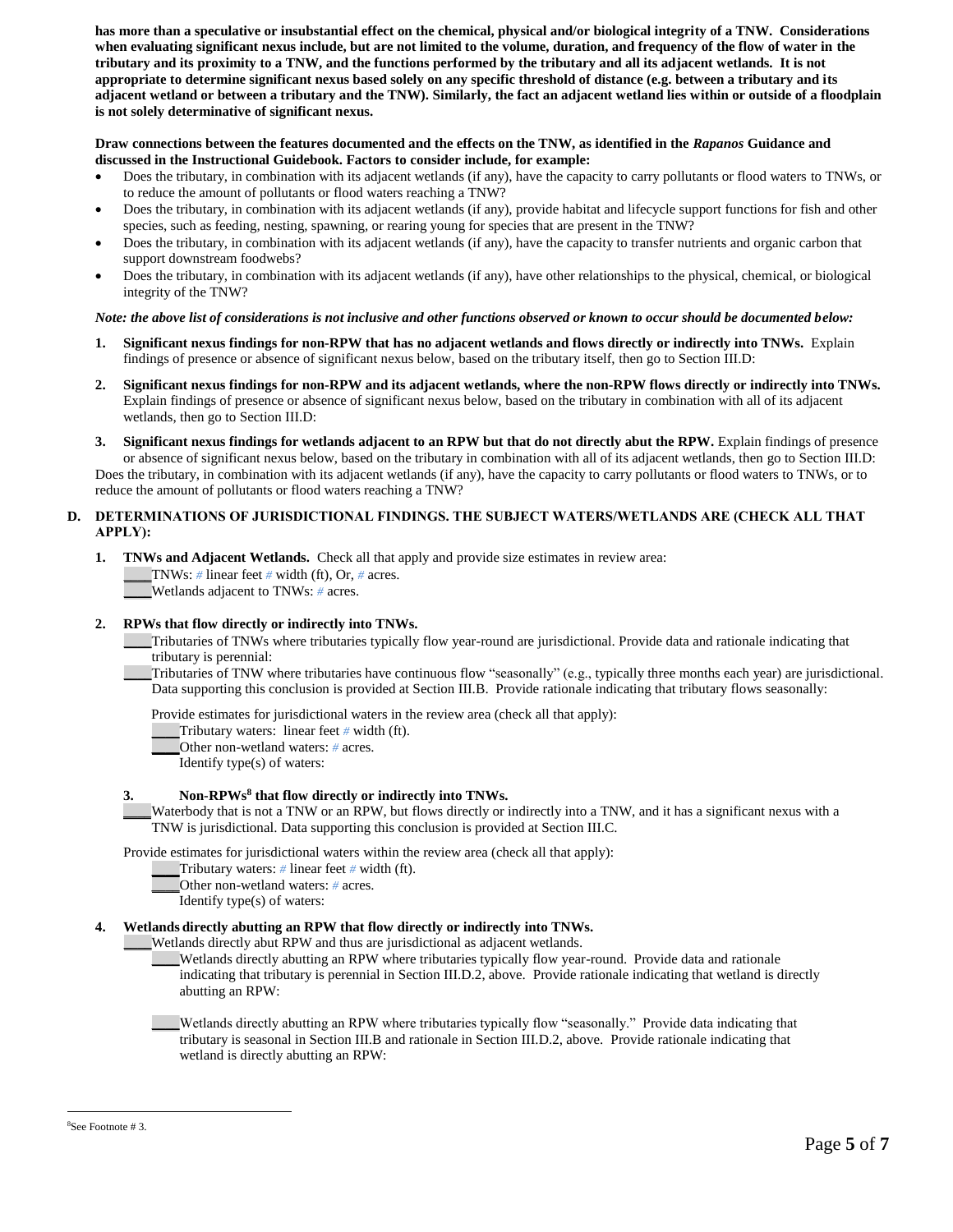**has more than a speculative or insubstantial effect on the chemical, physical and/or biological integrity of a TNW. Considerations when evaluating significant nexus include, but are not limited to the volume, duration, and frequency of the flow of water in the tributary and its proximity to a TNW, and the functions performed by the tributary and all its adjacent wetlands. It is not appropriate to determine significant nexus based solely on any specific threshold of distance (e.g. between a tributary and its adjacent wetland or between a tributary and the TNW). Similarly, the fact an adjacent wetland lies within or outside of a floodplain is not solely determinative of significant nexus.** 

# **Draw connections between the features documented and the effects on the TNW, as identified in the** *Rapanos* **Guidance and discussed in the Instructional Guidebook. Factors to consider include, for example:**

- Does the tributary, in combination with its adjacent wetlands (if any), have the capacity to carry pollutants or flood waters to TNWs, or to reduce the amount of pollutants or flood waters reaching a TNW?
- Does the tributary, in combination with its adjacent wetlands (if any), provide habitat and lifecycle support functions for fish and other species, such as feeding, nesting, spawning, or rearing young for species that are present in the TNW?
- Does the tributary, in combination with its adjacent wetlands (if any), have the capacity to transfer nutrients and organic carbon that support downstream foodwebs?
- Does the tributary, in combination with its adjacent wetlands (if any), have other relationships to the physical, chemical, or biological integrity of the TNW?

# *Note: the above list of considerations is not inclusive and other functions observed or known to occur should be documented below:*

- **1. Significant nexus findings for non-RPW that has no adjacent wetlands and flows directly or indirectly into TNWs.** Explain findings of presence or absence of significant nexus below, based on the tributary itself, then go to Section III.D:
- **2. Significant nexus findings for non-RPW and its adjacent wetlands, where the non-RPW flows directly or indirectly into TNWs.**  Explain findings of presence or absence of significant nexus below, based on the tributary in combination with all of its adjacent wetlands, then go to Section III.D:
- **3. Significant nexus findings for wetlands adjacent to an RPW but that do not directly abut the RPW.** Explain findings of presence or absence of significant nexus below, based on the tributary in combination with all of its adjacent wetlands, then go to Section III.D: Does the tributary, in combination with its adjacent wetlands (if any), have the capacity to carry pollutants or flood waters to TNWs, or to reduce the amount of pollutants or flood waters reaching a TNW?

# **D. DETERMINATIONS OF JURISDICTIONAL FINDINGS. THE SUBJECT WATERS/WETLANDS ARE (CHECK ALL THAT APPLY):**

**1. TNWs and Adjacent Wetlands.** Check all that apply and provide size estimates in review area: \_\_\_\_TNWs: *#* linear feet *#* width (ft), Or, *#* acres. \_\_\_\_Wetlands adjacent to TNWs: *#* acres.

# **2. RPWs that flow directly or indirectly into TNWs.**

\_\_\_\_Tributaries of TNWs where tributaries typically flow year-round are jurisdictional. Provide data and rationale indicating that tributary is perennial:

\_\_\_\_Tributaries of TNW where tributaries have continuous flow "seasonally" (e.g., typically three months each year) are jurisdictional. Data supporting this conclusion is provided at Section III.B. Provide rationale indicating that tributary flows seasonally:

Provide estimates for jurisdictional waters in the review area (check all that apply):

**\_\_\_\_**Tributary waters: linear feet *#* width (ft).

**\_\_\_\_**Other non-wetland waters: *#* acres.

Identify type(s) of waters:

# **3. Non-RPWs<sup>8</sup> that flow directly or indirectly into TNWs.**

**\_\_\_\_**Waterbody that is not a TNW or an RPW, but flows directly or indirectly into a TNW, and it has a significant nexus with a TNW is jurisdictional. Data supporting this conclusion is provided at Section III.C.

Provide estimates for jurisdictional waters within the review area (check all that apply):

- **\_\_\_\_**Tributary waters: *#* linear feet *#* width (ft).
- **\_\_\_\_**Other non-wetland waters: *#* acres.
- Identify type(s) of waters:

# **4. Wetlands directly abutting an RPW that flow directly or indirectly into TNWs.**

\_\_\_\_Wetlands directly abut RPW and thus are jurisdictional as adjacent wetlands.

- \_\_\_\_Wetlands directly abutting an RPW where tributaries typically flow year-round. Provide data and rationale indicating that tributary is perennial in Section III.D.2, above. Provide rationale indicating that wetland is directly abutting an RPW:
- \_\_\_\_Wetlands directly abutting an RPW where tributaries typically flow "seasonally." Provide data indicating that tributary is seasonal in Section III.B and rationale in Section III.D.2, above. Provide rationale indicating that wetland is directly abutting an RPW:

 $\overline{a}$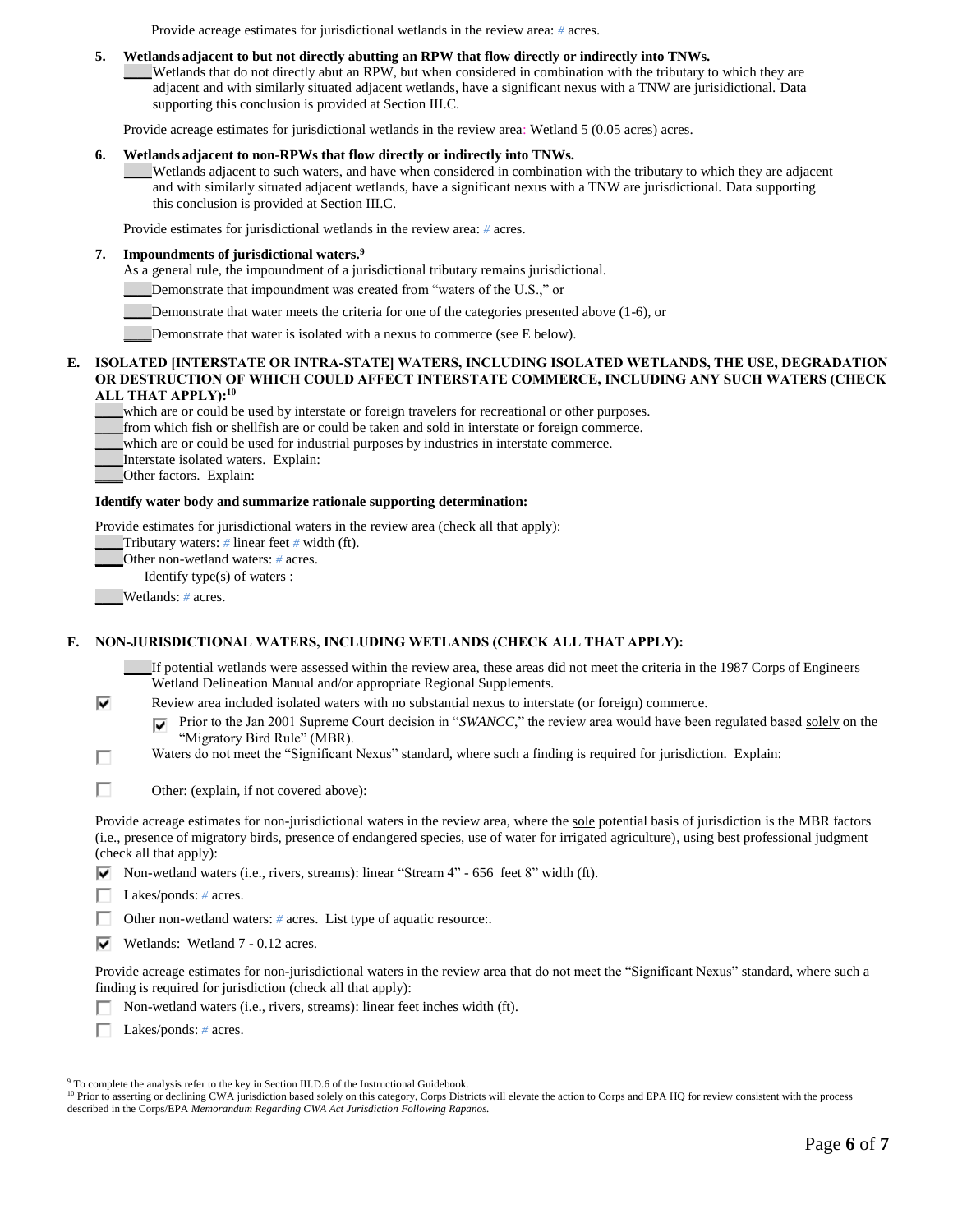Provide acreage estimates for jurisdictional wetlands in the review area: *#* acres.

### **5. Wetlands adjacent to but not directly abutting an RPW that flow directly or indirectly into TNWs.**

\_\_\_\_Wetlands that do not directly abut an RPW, but when considered in combination with the tributary to which they are adjacent and with similarly situated adjacent wetlands, have a significant nexus with a TNW are jurisidictional. Data supporting this conclusion is provided at Section III.C.

Provide acreage estimates for jurisdictional wetlands in the review area: Wetland 5 (0.05 acres) acres.

#### **6. Wetlands adjacent to non-RPWs that flow directly or indirectly into TNWs.**

\_\_\_\_Wetlands adjacent to such waters, and have when considered in combination with the tributary to which they are adjacent and with similarly situated adjacent wetlands, have a significant nexus with a TNW are jurisdictional. Data supporting this conclusion is provided at Section III.C.

Provide estimates for jurisdictional wetlands in the review area: *#* acres.

# **7. Impoundments of jurisdictional waters. 9**

As a general rule, the impoundment of a jurisdictional tributary remains jurisdictional.

\_\_\_\_Demonstrate that impoundment was created from "waters of the U.S.," or

Demonstrate that water meets the criteria for one of the categories presented above (1-6), or

\_\_\_\_Demonstrate that water is isolated with a nexus to commerce (see E below).

#### **E. ISOLATED [INTERSTATE OR INTRA-STATE] WATERS, INCLUDING ISOLATED WETLANDS, THE USE, DEGRADATION OR DESTRUCTION OF WHICH COULD AFFECT INTERSTATE COMMERCE, INCLUDING ANY SUCH WATERS (CHECK ALL THAT APPLY):<sup>10</sup>**

\_\_\_\_which are or could be used by interstate or foreign travelers for recreational or other purposes.

\_\_\_\_from which fish or shellfish are or could be taken and sold in interstate or foreign commerce.

\_\_\_\_which are or could be used for industrial purposes by industries in interstate commerce.

\_\_\_\_Interstate isolated waters.Explain:

\_\_\_\_Other factors.Explain:

#### **Identify water body and summarize rationale supporting determination:**

Provide estimates for jurisdictional waters in the review area (check all that apply):

**\_\_\_\_**Tributary waters: *#* linear feet *#* width (ft).

**\_\_\_\_**Other non-wetland waters: *#* acres.

Identify type(s) of waters :

**\_\_\_\_**Wetlands: *#* acres.

п

Г Л

# **F. NON-JURISDICTIONAL WATERS, INCLUDING WETLANDS (CHECK ALL THAT APPLY):**

**\_\_\_\_**If potential wetlands were assessed within the review area, these areas did not meet the criteria in the 1987 Corps of Engineers Wetland Delineation Manual and/or appropriate Regional Supplements.

⊽ Review area included isolated waters with no substantial nexus to interstate (or foreign) commerce.

Prior to the Jan 2001 Supreme Court decision in "*SWANCC*," the review area would have been regulated based solely on the ⊽ "Migratory Bird Rule" (MBR).

- Waters do not meet the "Significant Nexus" standard, where such a finding is required for jurisdiction. Explain:
- П Other: (explain, if not covered above):

Provide acreage estimates for non-jurisdictional waters in the review area, where the sole potential basis of jurisdiction is the MBR factors (i.e., presence of migratory birds, presence of endangered species, use of water for irrigated agriculture), using best professional judgment (check all that apply):

 $\nabla$  Non-wetland waters (i.e., rivers, streams): linear "Stream 4" - 656 feet 8" width (ft).

Lakes/ponds: *#* acres.

Other non-wetland waters: # acres. List type of aquatic resource:.

 $\overline{\triangledown}$  Wetlands: Wetland 7 - 0.12 acres.

Provide acreage estimates for non-jurisdictional waters in the review area that do not meet the "Significant Nexus" standard, where such a finding is required for jurisdiction (check all that apply):

Non-wetland waters (i.e., rivers, streams): linear feet inches width (ft).

Lakes/ponds: *#* acres.

<sup>10</sup> Prior to asserting or declining CWA jurisdiction based solely on this category, Corps Districts will elevate the action to Corps and EPA HQ for review consistent with the process described in the Corps/EPA *Memorandum Regarding CWA Act Jurisdiction Following Rapanos.*

 $\overline{a}$ <sup>9</sup> To complete the analysis refer to the key in Section III.D.6 of the Instructional Guidebook.